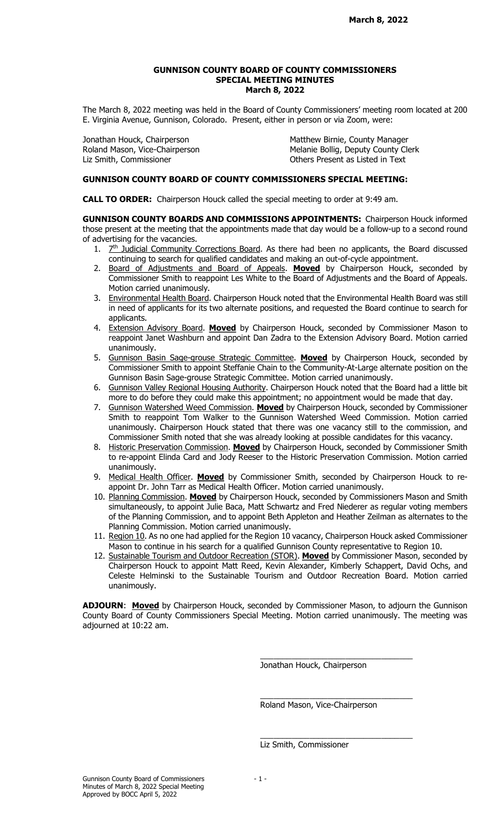## GUNNISON COUNTY BOARD OF COUNTY COMMISSIONERS SPECIAL MEETING MINUTES March 8, 2022

The March 8, 2022 meeting was held in the Board of County Commissioners' meeting room located at 200 E. Virginia Avenue, Gunnison, Colorado. Present, either in person or via Zoom, were:

Liz Smith, Commissioner **Commissioner** Christener Active Present as Listed in Text

Jonathan Houck, Chairperson **Matthew Birnie, County Manager** Matthew Birnie, County Manager Roland Mason, Vice-Chairperson **Melanie Bollig, Deputy County Clerk** Melanie Bollig, Deputy County Clerk

## GUNNISON COUNTY BOARD OF COUNTY COMMISSIONERS SPECIAL MEETING:

CALL TO ORDER: Chairperson Houck called the special meeting to order at 9:49 am.

GUNNISON COUNTY BOARDS AND COMMISSIONS APPOINTMENTS: Chairperson Houck informed those present at the meeting that the appointments made that day would be a follow-up to a second round of advertising for the vacancies.

- 1.  $Z<sup>th</sup>$  Judicial Community Corrections Board. As there had been no applicants, the Board discussed continuing to search for qualified candidates and making an out-of-cycle appointment.
- 2. Board of Adjustments and Board of Appeals. Moved by Chairperson Houck, seconded by Commissioner Smith to reappoint Les White to the Board of Adjustments and the Board of Appeals. Motion carried unanimously.
- 3. Environmental Health Board. Chairperson Houck noted that the Environmental Health Board was still in need of applicants for its two alternate positions, and requested the Board continue to search for applicants.
- 4. Extension Advisory Board. Moved by Chairperson Houck, seconded by Commissioner Mason to reappoint Janet Washburn and appoint Dan Zadra to the Extension Advisory Board. Motion carried unanimously.
- 5. Gunnison Basin Sage-grouse Strategic Committee. Moved by Chairperson Houck, seconded by Commissioner Smith to appoint Steffanie Chain to the Community-At-Large alternate position on the Gunnison Basin Sage-grouse Strategic Committee. Motion carried unanimously.
- 6. Gunnison Valley Regional Housing Authority. Chairperson Houck noted that the Board had a little bit more to do before they could make this appointment; no appointment would be made that day.
- 7. Gunnison Watershed Weed Commission. Moved by Chairperson Houck, seconded by Commissioner Smith to reappoint Tom Walker to the Gunnison Watershed Weed Commission. Motion carried unanimously. Chairperson Houck stated that there was one vacancy still to the commission, and Commissioner Smith noted that she was already looking at possible candidates for this vacancy.
- 8. Historic Preservation Commission. Moved by Chairperson Houck, seconded by Commissioner Smith to re-appoint Elinda Card and Jody Reeser to the Historic Preservation Commission. Motion carried unanimously.
- 9. Medical Health Officer. Moved by Commissioner Smith, seconded by Chairperson Houck to reappoint Dr. John Tarr as Medical Health Officer. Motion carried unanimously.
- 10. Planning Commission. Moved by Chairperson Houck, seconded by Commissioners Mason and Smith simultaneously, to appoint Julie Baca, Matt Schwartz and Fred Niederer as regular voting members of the Planning Commission, and to appoint Beth Appleton and Heather Zeilman as alternates to the Planning Commission. Motion carried unanimously.
- 11. Region  $10$ . As no one had applied for the Region 10 vacancy, Chairperson Houck asked Commissioner Mason to continue in his search for a qualified Gunnison County representative to Region 10.
- 12. Sustainable Tourism and Outdoor Recreation (STOR). Moved by Commissioner Mason, seconded by Chairperson Houck to appoint Matt Reed, Kevin Alexander, Kimberly Schappert, David Ochs, and Celeste Helminski to the Sustainable Tourism and Outdoor Recreation Board. Motion carried unanimously.

ADJOURN: Moved by Chairperson Houck, seconded by Commissioner Mason, to adjourn the Gunnison County Board of County Commissioners Special Meeting. Motion carried unanimously. The meeting was adjourned at 10:22 am.

Jonathan Houck, Chairperson

\_\_\_\_\_\_\_\_\_\_\_\_\_\_\_\_\_\_\_\_\_\_\_\_\_\_\_\_\_\_\_\_\_\_

\_\_\_\_\_\_\_\_\_\_\_\_\_\_\_\_\_\_\_\_\_\_\_\_\_\_\_\_\_\_\_\_\_\_

\_\_\_\_\_\_\_\_\_\_\_\_\_\_\_\_\_\_\_\_\_\_\_\_\_\_\_\_\_\_\_\_\_\_

Roland Mason, Vice-Chairperson

Liz Smith, Commissioner